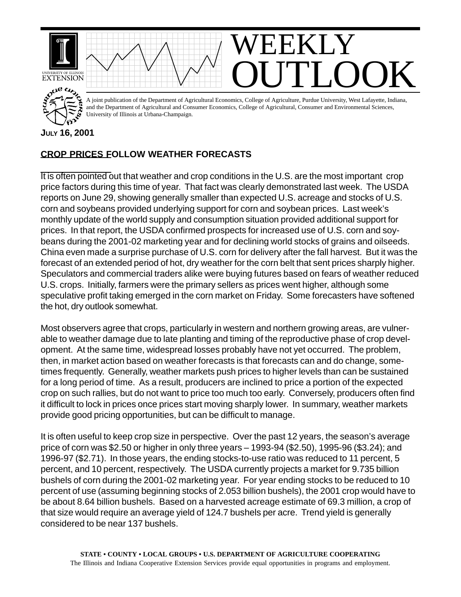

## **CROP PRICES FOLLOW WEATHER FORECASTS**

It is often pointed out that weather and crop conditions in the U.S. are the most important crop price factors during this time of year. That fact was clearly demonstrated last week. The USDA reports on June 29, showing generally smaller than expected U.S. acreage and stocks of U.S. corn and soybeans provided underlying support for corn and soybean prices. Last week's monthly update of the world supply and consumption situation provided additional support for prices. In that report, the USDA confirmed prospects for increased use of U.S. corn and soybeans during the 2001-02 marketing year and for declining world stocks of grains and oilseeds. China even made a surprise purchase of U.S. corn for delivery after the fall harvest. But it was the forecast of an extended period of hot, dry weather for the corn belt that sent prices sharply higher. Speculators and commercial traders alike were buying futures based on fears of weather reduced U.S. crops. Initially, farmers were the primary sellers as prices went higher, although some speculative profit taking emerged in the corn market on Friday. Some forecasters have softened the hot, dry outlook somewhat.

Most observers agree that crops, particularly in western and northern growing areas, are vulnerable to weather damage due to late planting and timing of the reproductive phase of crop development. At the same time, widespread losses probably have not yet occurred. The problem, then, in market action based on weather forecasts is that forecasts can and do change, sometimes frequently. Generally, weather markets push prices to higher levels than can be sustained for a long period of time. As a result, producers are inclined to price a portion of the expected crop on such rallies, but do not want to price too much too early. Conversely, producers often find it difficult to lock in prices once prices start moving sharply lower. In summary, weather markets provide good pricing opportunities, but can be difficult to manage.

It is often useful to keep crop size in perspective. Over the past 12 years, the season's average price of corn was \$2.50 or higher in only three years – 1993-94 (\$2.50), 1995-96 (\$3.24); and 1996-97 (\$2.71). In those years, the ending stocks-to-use ratio was reduced to 11 percent, 5 percent, and 10 percent, respectively. The USDA currently projects a market for 9.735 billion bushels of corn during the 2001-02 marketing year. For year ending stocks to be reduced to 10 percent of use (assuming beginning stocks of 2.053 billion bushels), the 2001 crop would have to be about 8.64 billion bushels. Based on a harvested acreage estimate of 69.3 million, a crop of that size would require an average yield of 124.7 bushels per acre. Trend yield is generally considered to be near 137 bushels.